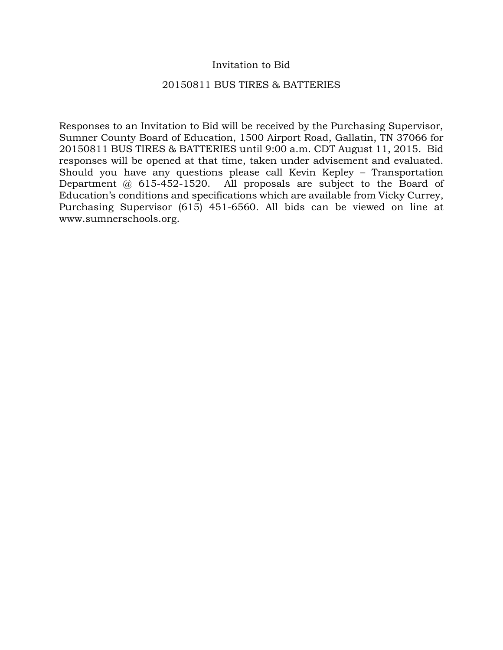#### Invitation to Bid

#### 20150811 BUS TIRES & BATTERIES

Responses to an Invitation to Bid will be received by the Purchasing Supervisor, Sumner County Board of Education, 1500 Airport Road, Gallatin, TN 37066 for 20150811 BUS TIRES & BATTERIES until 9:00 a.m. CDT August 11, 2015. Bid responses will be opened at that time, taken under advisement and evaluated. Should you have any questions please call Kevin Kepley – Transportation Department @ 615-452-1520. All proposals are subject to the Board of Education's conditions and specifications which are available from Vicky Currey, Purchasing Supervisor (615) 451-6560. All bids can be viewed on line at www.sumnerschools.org.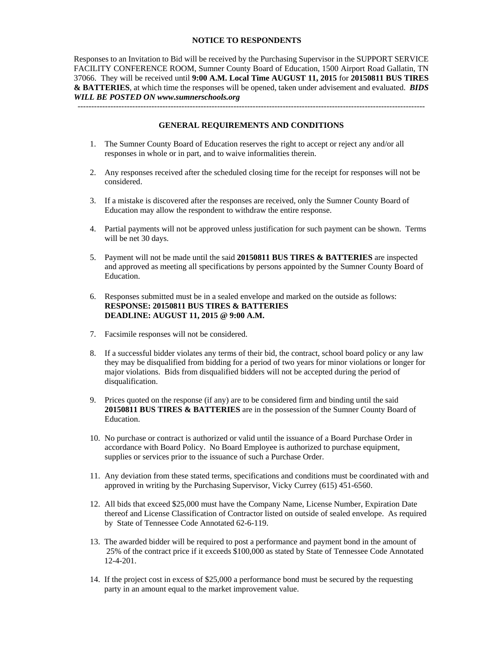#### **NOTICE TO RESPONDENTS**

Responses to an Invitation to Bid will be received by the Purchasing Supervisor in the SUPPORT SERVICE FACILITY CONFERENCE ROOM, Sumner County Board of Education, 1500 Airport Road Gallatin, TN 37066. They will be received until **9:00 A.M. Local Time AUGUST 11, 2015** for **20150811 BUS TIRES & BATTERIES**, at which time the responses will be opened, taken under advisement and evaluated. *BIDS WILL BE POSTED ON www.sumnerschools.org* 

**GENERAL REQUIREMENTS AND CONDITIONS** 

-------------------------------------------------------------------------------------------------------------------------------

- 1. The Sumner County Board of Education reserves the right to accept or reject any and/or all responses in whole or in part, and to waive informalities therein.
- 2. Any responses received after the scheduled closing time for the receipt for responses will not be considered.
- 3. If a mistake is discovered after the responses are received, only the Sumner County Board of Education may allow the respondent to withdraw the entire response.
- 4. Partial payments will not be approved unless justification for such payment can be shown. Terms will be net 30 days.
- 5. Payment will not be made until the said **20150811 BUS TIRES & BATTERIES** are inspected and approved as meeting all specifications by persons appointed by the Sumner County Board of Education.
- 6. Responses submitted must be in a sealed envelope and marked on the outside as follows: **RESPONSE: 20150811 BUS TIRES & BATTERIES DEADLINE: AUGUST 11, 2015 @ 9:00 A.M.**
- 7. Facsimile responses will not be considered.
- 8. If a successful bidder violates any terms of their bid, the contract, school board policy or any law they may be disqualified from bidding for a period of two years for minor violations or longer for major violations. Bids from disqualified bidders will not be accepted during the period of disqualification.
- 9. Prices quoted on the response (if any) are to be considered firm and binding until the said **20150811 BUS TIRES & BATTERIES** are in the possession of the Sumner County Board of Education.
- 10. No purchase or contract is authorized or valid until the issuance of a Board Purchase Order in accordance with Board Policy. No Board Employee is authorized to purchase equipment, supplies or services prior to the issuance of such a Purchase Order.
- 11. Any deviation from these stated terms, specifications and conditions must be coordinated with and approved in writing by the Purchasing Supervisor, Vicky Currey (615) 451-6560.
- 12. All bids that exceed \$25,000 must have the Company Name, License Number, Expiration Date thereof and License Classification of Contractor listed on outside of sealed envelope. As required by State of Tennessee Code Annotated 62-6-119.
- 13. The awarded bidder will be required to post a performance and payment bond in the amount of 25% of the contract price if it exceeds \$100,000 as stated by State of Tennessee Code Annotated 12-4-201.
- 14. If the project cost in excess of \$25,000 a performance bond must be secured by the requesting party in an amount equal to the market improvement value.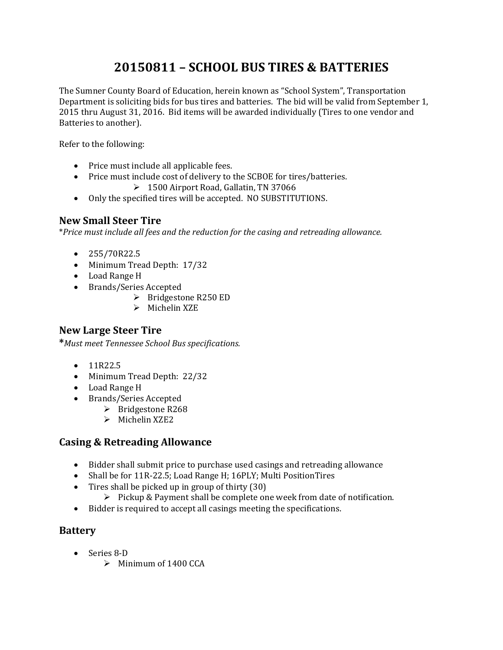# **20150811 – SCHOOL BUS TIRES & BATTERIES**

The Sumner County Board of Education, herein known as "School System", Transportation Department is soliciting bids for bus tires and batteries. The bid will be valid from September 1, 2015 thru August 31, 2016. Bid items will be awarded individually (Tires to one vendor and Batteries to another).

Refer to the following:

- Price must include all applicable fees.
- Price must include cost of delivery to the SCBOE for tires/batteries.
	- $\geq 1500$  Airport Road, Gallatin, TN 37066
- Only the specified tires will be accepted. NO SUBSTITUTIONS.

# **New Small Steer Tire**

\**Price must include all fees and the reduction for the casing and retreading allowance.*

- $255/70R22.5$
- Minimum Tread Depth: 17/32
- Load Range H
- Brands/Series Accepted
	- $\triangleright$  Bridgestone R250 ED
	- $\triangleright$  Michelin XZE

# **New Large Steer Tire**

**\****Must meet Tennessee School Bus specifications.*

- $\bullet$  11R22.5
- Minimum Tread Depth: 22/32
- Load Range H
- Brands/Series Accepted
	- $\triangleright$  Bridgestone R268
	- $\triangleright$  Michelin XZE2

# **Casing & Retreading Allowance**

- Bidder shall submit price to purchase used casings and retreading allowance
- Shall be for 11R-22.5; Load Range H; 16PLY; Multi PositionTires
- Tires shall be picked up in group of thirty  $(30)$ 
	- $\triangleright$  Pickup & Payment shall be complete one week from date of notification.
- $\bullet$  Bidder is required to accept all casings meeting the specifications.

## **Battery**

- Series 8-D
	- $\triangleright$  Minimum of 1400 CCA